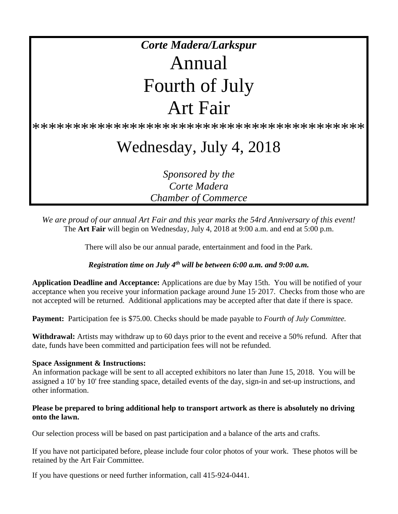# *Corte Madera/Larkspur* Annual Fourth of July Art Fair

\*\*\*\*\*\*\*\*\*\*\*\*\*\*\*\*\*\*\*\*\*\*\*\*\*\*\*\*\*\*\*\*\*\*\*\*\*\*\*\*\*

## Wednesday, July 4, 2018

*Sponsored by the Corte Madera Chamber of Commerce*

*We are proud of our annual Art Fair and this year marks the 54rd Anniversary of this event!* The **Art Fair** will begin on Wednesday, July 4, 2018 at 9:00 a.m. and end at 5:00 p.m.

There will also be our annual parade, entertainment and food in the Park.

*Registration time on July 4th will be between 6:00 a.m. and 9:00 a.m.*

**Application Deadline and Acceptance:** Applications are due by May 15th. You will be notified of your acceptance when you receive your information package around June 15 2017. Checks from those who are not accepted will be returned. Additional applications may be accepted after that date if there is space.

**Payment:** Participation fee is \$75.00. Checks should be made payable to *Fourth of July Committee.*

**Withdrawal:** Artists may withdraw up to 60 days prior to the event and receive a 50% refund. After that date, funds have been committed and participation fees will not be refunded.

#### **Space Assignment & Instructions:**

An information package will be sent to all accepted exhibitors no later than June 15, 2018. You will be assigned a 10' by 10' free standing space, detailed events of the day, sign-in and set-up instructions, and other information.

#### **Please be prepared to bring additional help to transport artwork as there is absolutely no driving onto the lawn.**

Our selection process will be based on past participation and a balance of the arts and crafts.

If you have not participated before, please include four color photos of your work. These photos will be retained by the Art Fair Committee.

If you have questions or need further information, call 415-924-0441.